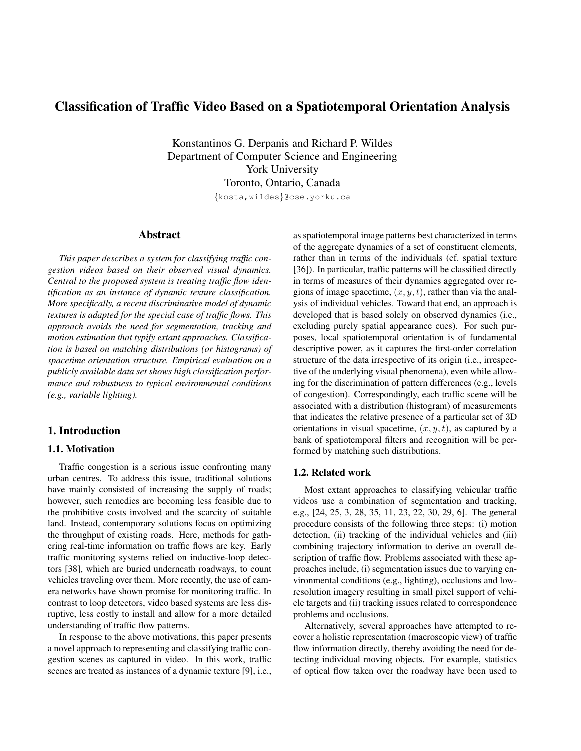# Classification of Traffic Video Based on a Spatiotemporal Orientation Analysis

Konstantinos G. Derpanis and Richard P. Wildes Department of Computer Science and Engineering York University Toronto, Ontario, Canada

{kosta,wildes}@cse.yorku.ca

## Abstract

*This paper describes a system for classifying traffic congestion videos based on their observed visual dynamics. Central to the proposed system is treating traffic flow identification as an instance of dynamic texture classification. More specifically, a recent discriminative model of dynamic textures is adapted for the special case of traffic flows. This approach avoids the need for segmentation, tracking and motion estimation that typify extant approaches. Classification is based on matching distributions (or histograms) of spacetime orientation structure. Empirical evaluation on a publicly available data set shows high classification performance and robustness to typical environmental conditions (e.g., variable lighting).*

## 1. Introduction

# 1.1. Motivation

Traffic congestion is a serious issue confronting many urban centres. To address this issue, traditional solutions have mainly consisted of increasing the supply of roads; however, such remedies are becoming less feasible due to the prohibitive costs involved and the scarcity of suitable land. Instead, contemporary solutions focus on optimizing the throughput of existing roads. Here, methods for gathering real-time information on traffic flows are key. Early traffic monitoring systems relied on inductive-loop detectors [\[38\]](#page-7-0), which are buried underneath roadways, to count vehicles traveling over them. More recently, the use of camera networks have shown promise for monitoring traffic. In contrast to loop detectors, video based systems are less disruptive, less costly to install and allow for a more detailed understanding of traffic flow patterns.

In response to the above motivations, this paper presents a novel approach to representing and classifying traffic congestion scenes as captured in video. In this work, traffic scenes are treated as instances of a dynamic texture [\[9\]](#page-7-1), i.e.,

as spatiotemporal image patterns best characterized in terms of the aggregate dynamics of a set of constituent elements, rather than in terms of the individuals (cf. spatial texture [\[36\]](#page-7-2)). In particular, traffic patterns will be classified directly in terms of measures of their dynamics aggregated over regions of image spacetime,  $(x, y, t)$ , rather than via the analysis of individual vehicles. Toward that end, an approach is developed that is based solely on observed dynamics (i.e., excluding purely spatial appearance cues). For such purposes, local spatiotemporal orientation is of fundamental descriptive power, as it captures the first-order correlation structure of the data irrespective of its origin (i.e., irrespective of the underlying visual phenomena), even while allowing for the discrimination of pattern differences (e.g., levels of congestion). Correspondingly, each traffic scene will be associated with a distribution (histogram) of measurements that indicates the relative presence of a particular set of 3D orientations in visual spacetime,  $(x, y, t)$ , as captured by a bank of spatiotemporal filters and recognition will be performed by matching such distributions.

#### 1.2. Related work

Most extant approaches to classifying vehicular traffic videos use a combination of segmentation and tracking, e.g., [\[24,](#page-7-3) [25,](#page-7-4) [3,](#page-6-0) [28,](#page-7-5) [35,](#page-7-6) [11,](#page-7-7) [23,](#page-7-8) [22,](#page-7-9) [30,](#page-7-10) [29,](#page-7-11) [6\]](#page-6-1). The general procedure consists of the following three steps: (i) motion detection, (ii) tracking of the individual vehicles and (iii) combining trajectory information to derive an overall description of traffic flow. Problems associated with these approaches include, (i) segmentation issues due to varying environmental conditions (e.g., lighting), occlusions and lowresolution imagery resulting in small pixel support of vehicle targets and (ii) tracking issues related to correspondence problems and occlusions.

Alternatively, several approaches have attempted to recover a holistic representation (macroscopic view) of traffic flow information directly, thereby avoiding the need for detecting individual moving objects. For example, statistics of optical flow taken over the roadway have been used to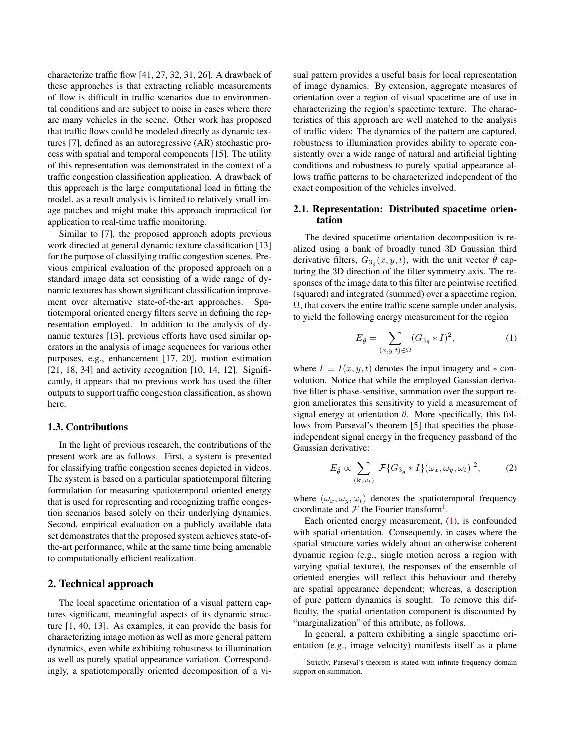characterize traffic flow [\[41,](#page-7-12) [27,](#page-7-13) [32,](#page-7-14) [31,](#page-7-15) [26\]](#page-7-16). A drawback of these approaches is that extracting reliable measurements of flow is difficult in traffic scenarios due to environmental conditions and are subject to noise in cases where there are many vehicles in the scene. Other work has proposed that traffic flows could be modeled directly as dynamic textures [\[7\]](#page-6-2), defined as an autoregressive (AR) stochastic process with spatial and temporal components [\[15\]](#page-7-17). The utility of this representation was demonstrated in the context of a traffic congestion classification application. A drawback of this approach is the large computational load in fitting the model, as a result analysis is limited to relatively small image patches and might make this approach impractical for application to real-time traffic monitoring.

Similar to [\[7\]](#page-6-2), the proposed approach adopts previous work directed at general dynamic texture classification [\[13\]](#page-7-18) for the purpose of classifying traffic congestion scenes. Previous empirical evaluation of the proposed approach on a standard image data set consisting of a wide range of dynamic textures has shown significant classification improvement over alternative state-of-the-art approaches. Spatiotemporal oriented energy filters serve in defining the representation employed. In addition to the analysis of dynamic textures [\[13\]](#page-7-18), previous efforts have used similar operators in the analysis of image sequences for various other purposes, e.g., enhancement [\[17,](#page-7-19) [20\]](#page-7-20), motion estimation  $[21, 18, 34]$  $[21, 18, 34]$  $[21, 18, 34]$  $[21, 18, 34]$  $[21, 18, 34]$  and activity recognition  $[10, 14, 12]$  $[10, 14, 12]$  $[10, 14, 12]$  $[10, 14, 12]$  $[10, 14, 12]$ . Significantly, it appears that no previous work has used the filter outputs to support traffic congestion classification, as shown here.

## 1.3. Contributions

In the light of previous research, the contributions of the present work are as follows. First, a system is presented for classifying traffic congestion scenes depicted in videos. The system is based on a particular spatiotemporal filtering formulation for measuring spatiotemporal oriented energy that is used for representing and recognizing traffic congestion scenarios based solely on their underlying dynamics. Second, empirical evaluation on a publicly available data set demonstrates that the proposed system achieves state-ofthe-art performance, while at the same time being amenable to computationally efficient realization.

# 2. Technical approach

The local spacetime orientation of a visual pattern captures significant, meaningful aspects of its dynamic structure [\[1,](#page-6-3) [40,](#page-7-27) [13\]](#page-7-18). As examples, it can provide the basis for characterizing image motion as well as more general pattern dynamics, even while exhibiting robustness to illumination as well as purely spatial appearance variation. Correspondingly, a spatiotemporally oriented decomposition of a visual pattern provides a useful basis for local representation of image dynamics. By extension, aggregate measures of orientation over a region of visual spacetime are of use in characterizing the region's spacetime texture. The characteristics of this approach are well matched to the analysis of traffic video: The dynamics of the pattern are captured, robustness to illumination provides ability to operate consistently over a wide range of natural and artificial lighting conditions and robustness to purely spatial appearance allows traffic patterns to be characterized independent of the exact composition of the vehicles involved.

## <span id="page-1-2"></span>2.1. Representation: Distributed spacetime orientation

The desired spacetime orientation decomposition is realized using a bank of broadly tuned 3D Gaussian third derivative filters,  $G_{3_{\hat{\theta}}}(x, y, t)$ , with the unit vector  $\hat{\theta}$  capturing the 3D direction of the filter symmetry axis. The responses of the image data to this filter are pointwise rectified (squared) and integrated (summed) over a spacetime region,  $\Omega$ , that covers the entire traffic scene sample under analysis, to yield the following energy measurement for the region

<span id="page-1-1"></span>
$$
E_{\hat{\theta}} = \sum_{(x,y,t)\in\Omega} (G_{3_{\hat{\theta}}} * I)^2,
$$
 (1)

where  $I \equiv I(x, y, t)$  denotes the input imagery and  $*$  convolution. Notice that while the employed Gaussian derivative filter is phase-sensitive, summation over the support region ameliorates this sensitivity to yield a measurement of signal energy at orientation  $\theta$ . More specifically, this follows from Parseval's theorem [\[5\]](#page-6-4) that specifies the phaseindependent signal energy in the frequency passband of the Gaussian derivative:

$$
E_{\hat{\theta}} \propto \sum_{(\mathbf{k},\omega_t)} |\mathcal{F}\{G_{3_{\hat{\theta}}} * I\}(\omega_x, \omega_y, \omega_t)|^2, \quad (2)
$$

where  $(\omega_x, \omega_y, \omega_t)$  denotes the spatiotemporal frequency coordinate and  $\mathcal F$  the Fourier transform<sup>[1](#page-1-0)</sup>.

Each oriented energy measurement, [\(1\)](#page-1-1), is confounded with spatial orientation. Consequently, in cases where the spatial structure varies widely about an otherwise coherent dynamic region (e.g., single motion across a region with varying spatial texture), the responses of the ensemble of oriented energies will reflect this behaviour and thereby are spatial appearance dependent; whereas, a description of pure pattern dynamics is sought. To remove this difficulty, the spatial orientation component is discounted by "marginalization" of this attribute, as follows.

In general, a pattern exhibiting a single spacetime orientation (e.g., image velocity) manifests itself as a plane

<span id="page-1-0"></span><sup>&</sup>lt;sup>1</sup>Strictly, Parseval's theorem is stated with infinite frequency domain support on summation.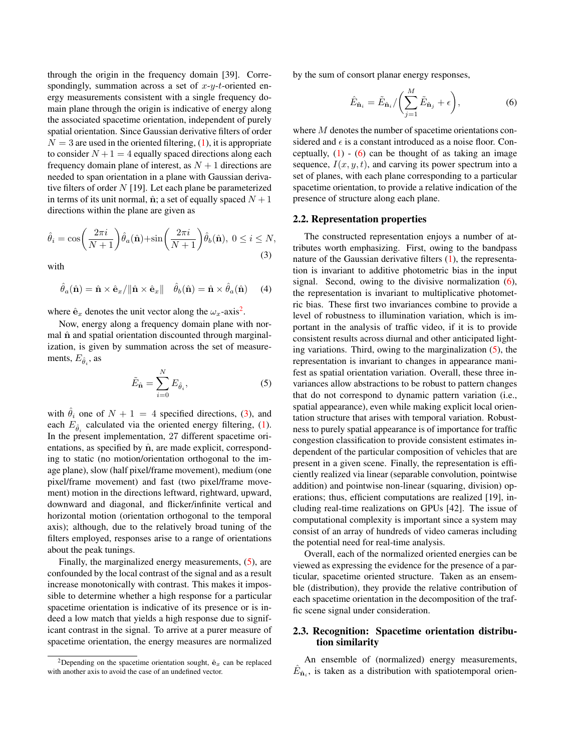through the origin in the frequency domain [\[39\]](#page-7-28). Correspondingly, summation across a set of  $x-y-t$ -oriented energy measurements consistent with a single frequency domain plane through the origin is indicative of energy along the associated spacetime orientation, independent of purely spatial orientation. Since Gaussian derivative filters of order  $N = 3$  are used in the oriented filtering, [\(1\)](#page-1-1), it is appropriate to consider  $N+1=4$  equally spaced directions along each frequency domain plane of interest, as  $N + 1$  directions are needed to span orientation in a plane with Gaussian derivative filters of order  $N$  [\[19\]](#page-7-29). Let each plane be parameterized in terms of its unit normal,  $\hat{\mathbf{n}}$ ; a set of equally spaced  $N+1$ directions within the plane are given as

<span id="page-2-1"></span>
$$
\hat{\theta}_i = \cos\left(\frac{2\pi i}{N+1}\right)\hat{\theta}_a(\hat{\mathbf{n}}) + \sin\left(\frac{2\pi i}{N+1}\right)\hat{\theta}_b(\hat{\mathbf{n}}), \ 0 \le i \le N,
$$
\n(3)

with

$$
\hat{\theta}_a(\hat{\mathbf{n}}) = \hat{\mathbf{n}} \times \hat{\mathbf{e}}_x / \|\hat{\mathbf{n}} \times \hat{\mathbf{e}}_x\| \quad \hat{\theta}_b(\hat{\mathbf{n}}) = \hat{\mathbf{n}} \times \hat{\theta}_a(\hat{\mathbf{n}}) \quad (4)
$$

where  $\hat{\mathbf{e}}_x$  denotes the unit vector along the  $\omega_x$ -axis<sup>[2](#page-2-0)</sup>.

Now, energy along a frequency domain plane with normal  $\hat{\bf{n}}$  and spatial orientation discounted through marginalization, is given by summation across the set of measurements,  $E_{\hat{\theta}_i}$ , as

<span id="page-2-2"></span>
$$
\tilde{E}_{\hat{\mathbf{n}}} = \sum_{i=0}^{N} E_{\hat{\theta}_i},
$$
\n(5)

with  $\hat{\theta}_i$  one of  $N + 1 = 4$  specified directions, [\(3\)](#page-2-1), and each  $E_{\hat{\theta}_i}$  calculated via the oriented energy filtering, [\(1\)](#page-1-1). In the present implementation, 27 different spacetime orientations, as specified by  $\hat{\mathbf{n}}$ , are made explicit, corresponding to static (no motion/orientation orthogonal to the image plane), slow (half pixel/frame movement), medium (one pixel/frame movement) and fast (two pixel/frame movement) motion in the directions leftward, rightward, upward, downward and diagonal, and flicker/infinite vertical and horizontal motion (orientation orthogonal to the temporal axis); although, due to the relatively broad tuning of the filters employed, responses arise to a range of orientations about the peak tunings.

Finally, the marginalized energy measurements, [\(5\)](#page-2-2), are confounded by the local contrast of the signal and as a result increase monotonically with contrast. This makes it impossible to determine whether a high response for a particular spacetime orientation is indicative of its presence or is indeed a low match that yields a high response due to significant contrast in the signal. To arrive at a purer measure of spacetime orientation, the energy measures are normalized

by the sum of consort planar energy responses,

<span id="page-2-3"></span>
$$
\hat{E}_{\hat{\mathbf{n}}_i} = \tilde{E}_{\hat{\mathbf{n}}_i} / \left( \sum_{j=1}^M \tilde{E}_{\hat{\mathbf{n}}_j} + \epsilon \right), \tag{6}
$$

where M denotes the number of spacetime orientations considered and  $\epsilon$  is a constant introduced as a noise floor. Conceptually,  $(1)$  -  $(6)$  can be thought of as taking an image sequence,  $I(x, y, t)$ , and carving its power spectrum into a set of planes, with each plane corresponding to a particular spacetime orientation, to provide a relative indication of the presence of structure along each plane.

#### 2.2. Representation properties

The constructed representation enjoys a number of attributes worth emphasizing. First, owing to the bandpass nature of the Gaussian derivative filters  $(1)$ , the representation is invariant to additive photometric bias in the input signal. Second, owing to the divisive normalization [\(6\)](#page-2-3), the representation is invariant to multiplicative photometric bias. These first two invariances combine to provide a level of robustness to illumination variation, which is important in the analysis of traffic video, if it is to provide consistent results across diurnal and other anticipated lighting variations. Third, owing to the marginalization [\(5\)](#page-2-2), the representation is invariant to changes in appearance manifest as spatial orientation variation. Overall, these three invariances allow abstractions to be robust to pattern changes that do not correspond to dynamic pattern variation (i.e., spatial appearance), even while making explicit local orientation structure that arises with temporal variation. Robustness to purely spatial appearance is of importance for traffic congestion classification to provide consistent estimates independent of the particular composition of vehicles that are present in a given scene. Finally, the representation is efficiently realized via linear (separable convolution, pointwise addition) and pointwise non-linear (squaring, division) operations; thus, efficient computations are realized [\[19\]](#page-7-29), including real-time realizations on GPUs [\[42\]](#page-7-30). The issue of computational complexity is important since a system may consist of an array of hundreds of video cameras including the potential need for real-time analysis.

Overall, each of the normalized oriented energies can be viewed as expressing the evidence for the presence of a particular, spacetime oriented structure. Taken as an ensemble (distribution), they provide the relative contribution of each spacetime orientation in the decomposition of the traffic scene signal under consideration.

# <span id="page-2-4"></span>2.3. Recognition: Spacetime orientation distribution similarity

An ensemble of (normalized) energy measurements,  $\hat{E}_{\hat{n}_i}$ , is taken as a distribution with spatiotemporal orien-

<span id="page-2-0"></span><sup>&</sup>lt;sup>2</sup>Depending on the spacetime orientation sought,  $\hat{\mathbf{e}}_x$  can be replaced with another axis to avoid the case of an undefined vector.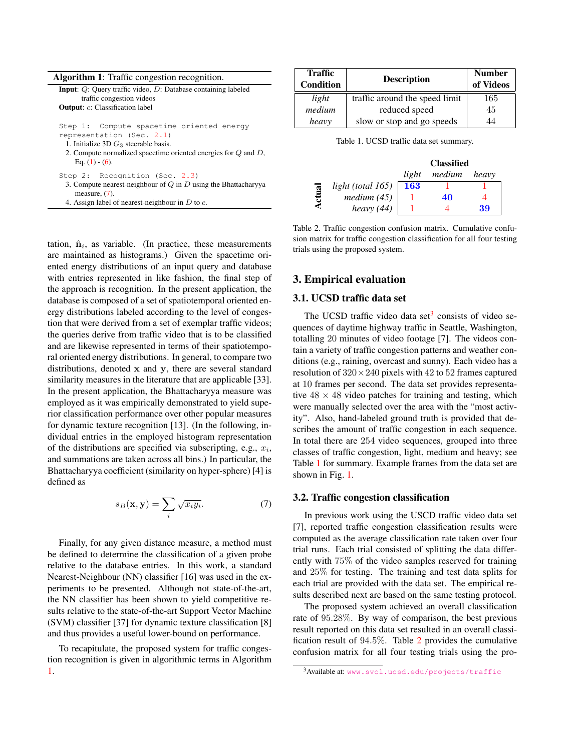| <b>Algorithm 1:</b> Traffic congestion recognition.                                                                                                                                                           |
|---------------------------------------------------------------------------------------------------------------------------------------------------------------------------------------------------------------|
| <b>Input:</b> $Q$ : Query traffic video, $D$ : Database containing labeled<br>traffic congestion videos<br><b>Output:</b> c: Classification label                                                             |
| Step 1: Compute spacetime oriented energy<br>representation (Sec. 2.1)<br>1. Initialize $3D G_3$ steerable basis.<br>2. Compute normalized spacetime oriented energies for $Q$ and $D$ ,<br>Eq. $(1) - (6)$ . |
| Step 2: Recognition (Sec. 2.3)<br>3. Compute nearest-neighbour of $Q$ in $D$ using the Bhattacharyya<br>measure, $(7)$ .<br>4. Assign label of nearest-neighbour in $D$ to $c$ .                              |

tation,  $\hat{\mathbf{n}}_i$ , as variable. (In practice, these measurements are maintained as histograms.) Given the spacetime oriented energy distributions of an input query and database with entries represented in like fashion, the final step of the approach is recognition. In the present application, the database is composed of a set of spatiotemporal oriented energy distributions labeled according to the level of congestion that were derived from a set of exemplar traffic videos; the queries derive from traffic video that is to be classified and are likewise represented in terms of their spatiotemporal oriented energy distributions. In general, to compare two distributions, denoted x and y, there are several standard similarity measures in the literature that are applicable [\[33\]](#page-7-31). In the present application, the Bhattacharyya measure was employed as it was empirically demonstrated to yield superior classification performance over other popular measures for dynamic texture recognition [\[13\]](#page-7-18). (In the following, individual entries in the employed histogram representation of the distributions are specified via subscripting, e.g.,  $x_i$ , and summations are taken across all bins.) In particular, the Bhattacharyya coefficient (similarity on hyper-sphere) [\[4\]](#page-6-5) is defined as

<span id="page-3-0"></span>
$$
s_B(\mathbf{x}, \mathbf{y}) = \sum_i \sqrt{x_i y_i}.
$$
 (7)

Finally, for any given distance measure, a method must be defined to determine the classification of a given probe relative to the database entries. In this work, a standard Nearest-Neighbour (NN) classifier [\[16\]](#page-7-32) was used in the experiments to be presented. Although not state-of-the-art, the NN classifier has been shown to yield competitive results relative to the state-of-the-art Support Vector Machine (SVM) classifier [\[37\]](#page-7-33) for dynamic texture classification [\[8\]](#page-7-34) and thus provides a useful lower-bound on performance.

<span id="page-3-1"></span>To recapitulate, the proposed system for traffic congestion recognition is given in algorithmic terms in Algorithm [1.](#page-3-1)

| <b>Traffic</b><br><b>Condition</b> | <b>Description</b>             | <b>Number</b><br>of Videos |
|------------------------------------|--------------------------------|----------------------------|
| light                              | traffic around the speed limit | 165                        |
| medium                             | reduced speed                  | 45                         |
| heavy                              | slow or stop and go speeds     | 44                         |

<span id="page-3-3"></span>Table 1. UCSD traffic data set summary.

|    |                   | <b>Classified</b> |        |       |
|----|-------------------|-------------------|--------|-------|
|    |                   | light             | medium | heavy |
| ख़ | light (total 165) | <b>163</b>        |        |       |
|    | medium (45)       |                   | 40     |       |
|    | heavy $(44)$      |                   |        | 39    |

<span id="page-3-4"></span>Table 2. Traffic congestion confusion matrix. Cumulative confusion matrix for traffic congestion classification for all four testing trials using the proposed system.

## 3. Empirical evaluation

# 3.1. UCSD traffic data set

The UCSD traffic video data set $3$  consists of video sequences of daytime highway traffic in Seattle, Washington, totalling 20 minutes of video footage [\[7\]](#page-6-2). The videos contain a variety of traffic congestion patterns and weather conditions (e.g., raining, overcast and sunny). Each video has a resolution of  $320 \times 240$  pixels with 42 to 52 frames captured at 10 frames per second. The data set provides representative  $48 \times 48$  video patches for training and testing, which were manually selected over the area with the "most activity". Also, hand-labeled ground truth is provided that describes the amount of traffic congestion in each sequence. In total there are 254 video sequences, grouped into three classes of traffic congestion, light, medium and heavy; see Table [1](#page-3-3) for summary. Example frames from the data set are shown in Fig. [1.](#page-4-0)

## 3.2. Traffic congestion classification

In previous work using the USCD traffic video data set [\[7\]](#page-6-2), reported traffic congestion classification results were computed as the average classification rate taken over four trial runs. Each trial consisted of splitting the data differently with 75% of the video samples reserved for training and 25% for testing. The training and test data splits for each trial are provided with the data set. The empirical results described next are based on the same testing protocol.

The proposed system achieved an overall classification rate of 95.28%. By way of comparison, the best previous result reported on this data set resulted in an overall classification result of 94.5%. Table [2](#page-3-4) provides the cumulative confusion matrix for all four testing trials using the pro-

<span id="page-3-2"></span><sup>3</sup>Available at: <www.svcl.ucsd.edu/projects/traffic>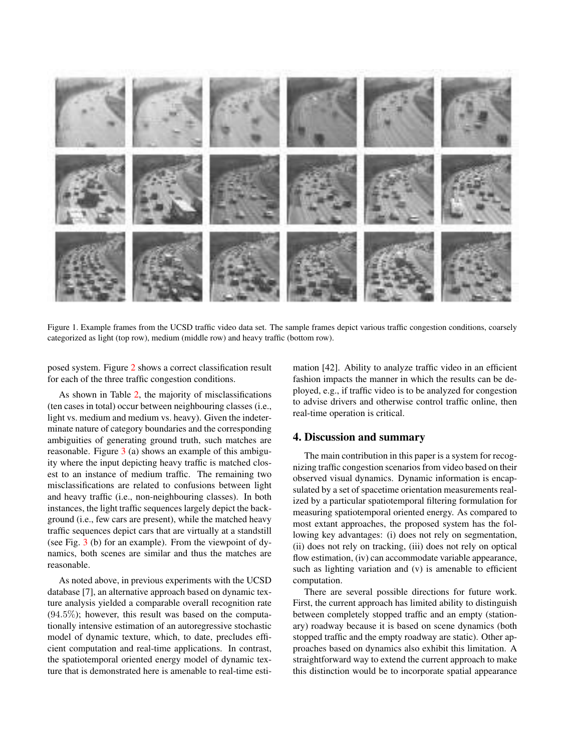

Figure 1. Example frames from the UCSD traffic video data set. The sample frames depict various traffic congestion conditions, coarsely categorized as light (top row), medium (middle row) and heavy traffic (bottom row).

<span id="page-4-0"></span>posed system. Figure [2](#page-5-0) shows a correct classification result for each of the three traffic congestion conditions.

As shown in Table [2,](#page-3-4) the majority of misclassifications (ten cases in total) occur between neighbouring classes (i.e., light vs. medium and medium vs. heavy). Given the indeterminate nature of category boundaries and the corresponding ambiguities of generating ground truth, such matches are reasonable. Figure [3](#page-6-6) (a) shows an example of this ambiguity where the input depicting heavy traffic is matched closest to an instance of medium traffic. The remaining two misclassifications are related to confusions between light and heavy traffic (i.e., non-neighbouring classes). In both instances, the light traffic sequences largely depict the background (i.e., few cars are present), while the matched heavy traffic sequences depict cars that are virtually at a standstill (see Fig. [3](#page-6-6) (b) for an example). From the viewpoint of dynamics, both scenes are similar and thus the matches are reasonable.

As noted above, in previous experiments with the UCSD database [\[7\]](#page-6-2), an alternative approach based on dynamic texture analysis yielded a comparable overall recognition rate  $(94.5\%)$ ; however, this result was based on the computationally intensive estimation of an autoregressive stochastic model of dynamic texture, which, to date, precludes efficient computation and real-time applications. In contrast, the spatiotemporal oriented energy model of dynamic texture that is demonstrated here is amenable to real-time estimation [\[42\]](#page-7-30). Ability to analyze traffic video in an efficient fashion impacts the manner in which the results can be deployed, e.g., if traffic video is to be analyzed for congestion to advise drivers and otherwise control traffic online, then real-time operation is critical.

## 4. Discussion and summary

The main contribution in this paper is a system for recognizing traffic congestion scenarios from video based on their observed visual dynamics. Dynamic information is encapsulated by a set of spacetime orientation measurements realized by a particular spatiotemporal filtering formulation for measuring spatiotemporal oriented energy. As compared to most extant approaches, the proposed system has the following key advantages: (i) does not rely on segmentation, (ii) does not rely on tracking, (iii) does not rely on optical flow estimation, (iv) can accommodate variable appearance, such as lighting variation and (v) is amenable to efficient computation.

There are several possible directions for future work. First, the current approach has limited ability to distinguish between completely stopped traffic and an empty (stationary) roadway because it is based on scene dynamics (both stopped traffic and the empty roadway are static). Other approaches based on dynamics also exhibit this limitation. A straightforward way to extend the current approach to make this distinction would be to incorporate spatial appearance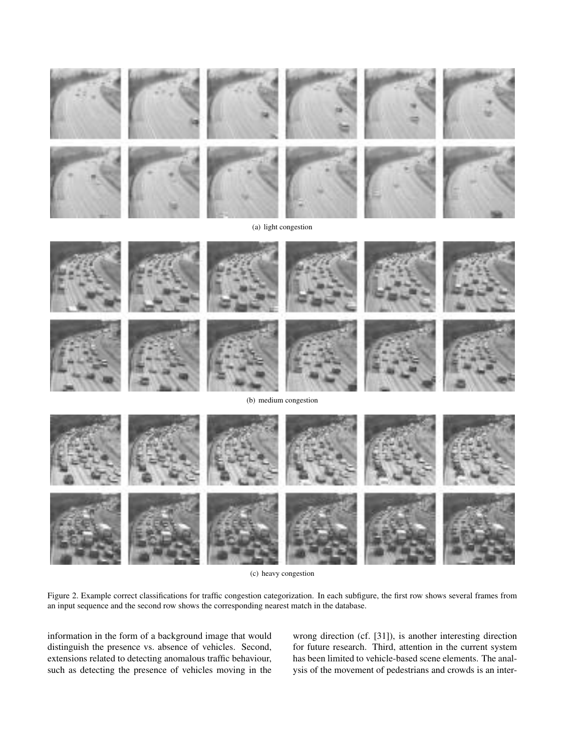







(c) heavy congestion

<span id="page-5-0"></span>Figure 2. Example correct classifications for traffic congestion categorization. In each subfigure, the first row shows several frames from an input sequence and the second row shows the corresponding nearest match in the database.

information in the form of a background image that would distinguish the presence vs. absence of vehicles. Second, extensions related to detecting anomalous traffic behaviour, such as detecting the presence of vehicles moving in the

wrong direction (cf. [\[31\]](#page-7-15)), is another interesting direction for future research. Third, attention in the current system has been limited to vehicle-based scene elements. The analysis of the movement of pedestrians and crowds is an inter-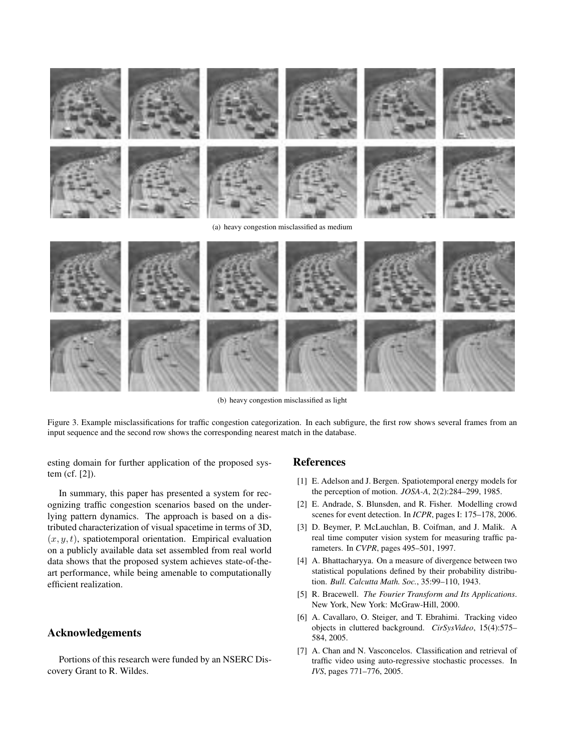

(b) heavy congestion misclassified as light

<span id="page-6-6"></span>Figure 3. Example misclassifications for traffic congestion categorization. In each subfigure, the first row shows several frames from an input sequence and the second row shows the corresponding nearest match in the database.

esting domain for further application of the proposed system (cf. [\[2\]](#page-6-7)).

In summary, this paper has presented a system for recognizing traffic congestion scenarios based on the underlying pattern dynamics. The approach is based on a distributed characterization of visual spacetime in terms of 3D,  $(x, y, t)$ , spatiotemporal orientation. Empirical evaluation on a publicly available data set assembled from real world data shows that the proposed system achieves state-of-theart performance, while being amenable to computationally efficient realization.

## Acknowledgements

Portions of this research were funded by an NSERC Discovery Grant to R. Wildes.

#### References

- <span id="page-6-3"></span>[1] E. Adelson and J. Bergen. Spatiotemporal energy models for the perception of motion. *JOSA-A*, 2(2):284–299, 1985.
- <span id="page-6-7"></span>[2] E. Andrade, S. Blunsden, and R. Fisher. Modelling crowd scenes for event detection. In *ICPR*, pages I: 175–178, 2006.
- <span id="page-6-0"></span>[3] D. Beymer, P. McLauchlan, B. Coifman, and J. Malik. A real time computer vision system for measuring traffic parameters. In *CVPR*, pages 495–501, 1997.
- <span id="page-6-5"></span>[4] A. Bhattacharyya. On a measure of divergence between two statistical populations defined by their probability distribution. *Bull. Calcutta Math. Soc.*, 35:99–110, 1943.
- <span id="page-6-4"></span>[5] R. Bracewell. *The Fourier Transform and Its Applications*. New York, New York: McGraw-Hill, 2000.
- <span id="page-6-1"></span>[6] A. Cavallaro, O. Steiger, and T. Ebrahimi. Tracking video objects in cluttered background. *CirSysVideo*, 15(4):575– 584, 2005.
- <span id="page-6-2"></span>[7] A. Chan and N. Vasconcelos. Classification and retrieval of traffic video using auto-regressive stochastic processes. In *IVS*, pages 771–776, 2005.